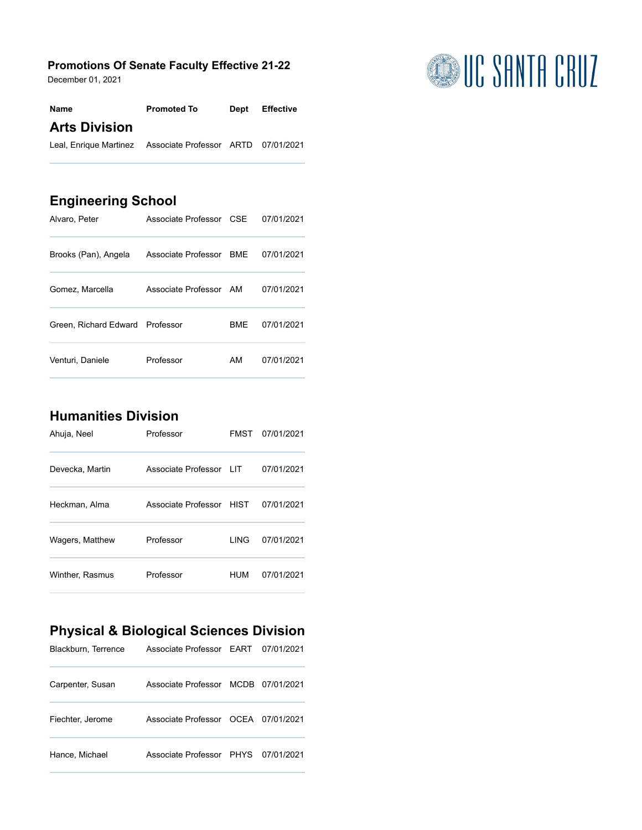#### **Promotions Of Senate Faculty Effective 21-22**

December 01, 2021

| Name                                                       | <b>Promoted To</b> | Dept Effective |
|------------------------------------------------------------|--------------------|----------------|
| <b>Arts Division</b>                                       |                    |                |
| Leal, Enrique Martinez Associate Professor ARTD 07/01/2021 |                    |                |

#### **Engineering School**

| Alvaro, Peter                   | Associate Professor CSE |            | 07/01/2021 |
|---------------------------------|-------------------------|------------|------------|
| Brooks (Pan), Angela            | Associate Professor BME |            | 07/01/2021 |
| Gomez, Marcella                 | Associate Professor AM  |            | 07/01/2021 |
| Green. Richard Edward Professor |                         | <b>BMF</b> | 07/01/2021 |
| Venturi, Daniele                | Professor               | AM         | 07/01/2021 |

### **Humanities Division**

| Ahuja, Neel     | Professor                |       | FMST 07/01/2021 |
|-----------------|--------------------------|-------|-----------------|
| Devecka, Martin | Associate Professor LIT  |       | 07/01/2021      |
| Heckman, Alma   | Associate Professor HIST |       | 07/01/2021      |
| Wagers, Matthew | Professor                | I ING | 07/01/2021      |
| Winther, Rasmus | Professor                | HUM   | 07/01/2021      |

# **Physical & Biological Sciences Division**

| Blackburn, Terrence | Associate Professor EART 07/01/2021 |  |
|---------------------|-------------------------------------|--|
| Carpenter, Susan    | Associate Professor MCDB 07/01/2021 |  |
| Fiechter, Jerome    | Associate Professor OCEA 07/01/2021 |  |
| Hance, Michael      | Associate Professor PHYS 07/01/2021 |  |